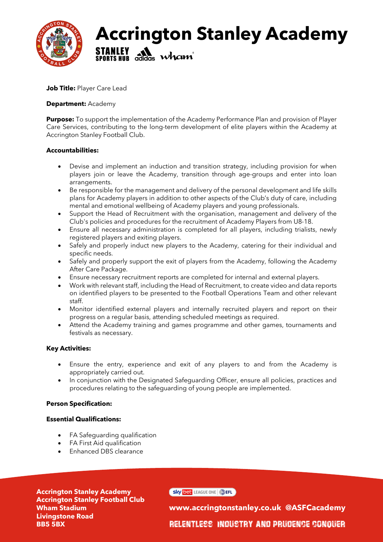

## **Accrington Stanley Academy STANLEY A Wham**

**Job Title:** Player Care Lead

### **Department:** Academy

**Purpose:** To support the implementation of the Academy Performance Plan and provision of Player Care Services, contributing to the long-term development of elite players within the Academy at Accrington Stanley Football Club.

### **Accountabilities:**

- Devise and implement an induction and transition strategy, including provision for when players join or leave the Academy, transition through age-groups and enter into loan arrangements.
- Be responsible for the management and delivery of the personal development and life skills plans for Academy players in addition to other aspects of the Club's duty of care, including mental and emotional wellbeing of Academy players and young professionals.
- Support the Head of Recruitment with the organisation, management and delivery of the Club's policies and procedures for the recruitment of Academy Players from U8-18.
- Ensure all necessary administration is completed for all players, including trialists, newly registered players and exiting players.
- Safely and properly induct new players to the Academy, catering for their individual and specific needs.
- Safely and properly support the exit of players from the Academy, following the Academy After Care Package.
- Ensure necessary recruitment reports are completed for internal and external players.
- Work with relevant staff, including the Head of Recruitment, to create video and data reports on identified players to be presented to the Football Operations Team and other relevant staff.
- Monitor identified external players and internally recruited players and report on their progress on a regular basis, attending scheduled meetings as required.
- Attend the Academy training and games programme and other games, tournaments and festivals as necessary.

#### **Key Activities:**

- Ensure the entry, experience and exit of any players to and from the Academy is appropriately carried out.
- In conjunction with the Designated Safeguarding Officer, ensure all policies, practices and procedures relating to the safeguarding of young people are implemented.

#### **Person Specification:**

#### **Essential Qualifications:**

- FA Safeguarding qualification
- FA First Aid qualification
- Enhanced DBS clearance

**Accrington Stanley Academy Accrington Stanley Football Club Wham Stadium Livingstone Road BB5 5BX**

Sky bet LEAGUE ONE | SEFL

**www.accringtonstanley.co.uk @ASFCacademy** Relentless Industry and Prudence Conquer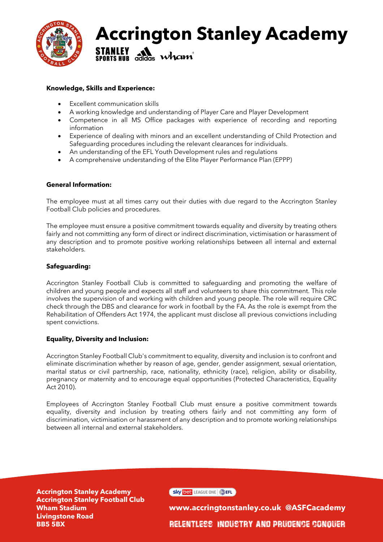

## **Accrington Stanley Academy STANLEY A Wham**

## **Knowledge, Skills and Experience:**

- Excellent communication skills
- A working knowledge and understanding of Player Care and Player Development
- Competence in all MS Office packages with experience of recording and reporting information
- Experience of dealing with minors and an excellent understanding of Child Protection and Safeguarding procedures including the relevant clearances for individuals.
- An understanding of the EFL Youth Development rules and regulations
- A comprehensive understanding of the Elite Player Performance Plan (EPPP)

### **General Information:**

The employee must at all times carry out their duties with due regard to the Accrington Stanley Football Club policies and procedures.

The employee must ensure a positive commitment towards equality and diversity by treating others fairly and not committing any form of direct or indirect discrimination, victimisation or harassment of any description and to promote positive working relationships between all internal and external stakeholders.

### **Safeguarding:**

Accrington Stanley Football Club is committed to safeguarding and promoting the welfare of children and young people and expects all staff and volunteers to share this commitment. This role involves the supervision of and working with children and young people. The role will require CRC check through the DBS and clearance for work in football by the FA. As the role is exempt from the Rehabilitation of Offenders Act 1974, the applicant must disclose all previous convictions including spent convictions.

#### **Equality, Diversity and Inclusion:**

Accrington Stanley Football Club's commitment to equality, diversity and inclusion is to confront and eliminate discrimination whether by reason of age, gender, gender assignment, sexual orientation, marital status or civil partnership, race, nationality, ethnicity (race), religion, ability or disability, pregnancy or maternity and to encourage equal opportunities (Protected Characteristics, Equality Act 2010).

Employees of Accrington Stanley Football Club must ensure a positive commitment towards equality, diversity and inclusion by treating others fairly and not committing any form of discrimination, victimisation or harassment of any description and to promote working relationships between all internal and external stakeholders.

**Accrington Stanley Academy Accrington Stanley Football Club Wham Stadium Livingstone Road BB5 5BX**

Sky bet LEAGUE ONE

**www.accringtonstanley.co.uk @ASFCacademy** Relentless Industry and Prudence Conquer